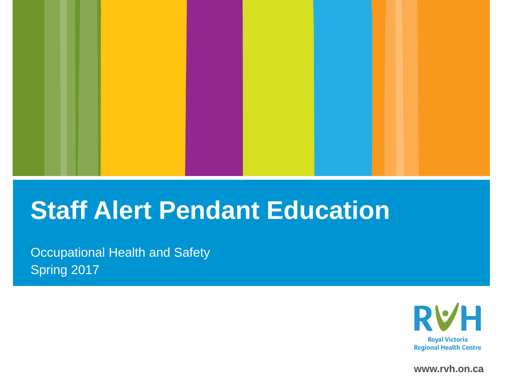

#### **Staff Alert Pendant Education**

Occupational Health and Safety Spring 2017



**www.rvh.on.ca**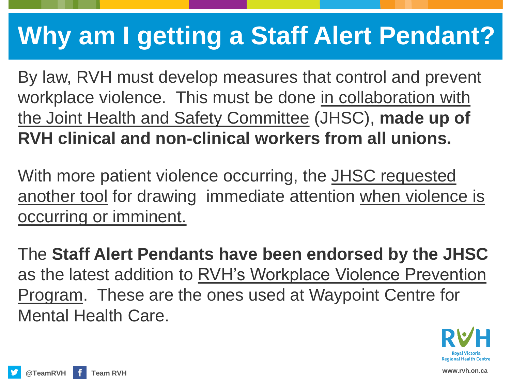# **Why am I getting a Staff Alert Pendant?**

By law, RVH must develop measures that control and prevent workplace violence. This must be done in collaboration with the Joint Health and Safety Committee (JHSC), **made up of RVH clinical and non-clinical workers from all unions.** 

With more patient violence occurring, the JHSC requested another tool for drawing immediate attention when violence is occurring or imminent.

The **Staff Alert Pendants have been endorsed by the JHSC**  as the latest addition to RVH's Workplace Violence Prevention Program. These are the ones used at Waypoint Centre for Mental Health Care.

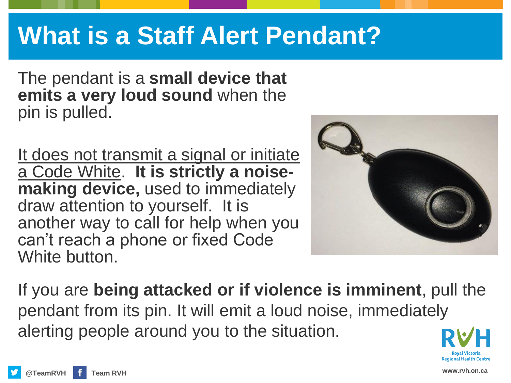### **What is a Staff Alert Pendant?**

The pendant is a **small device that emits a very loud sound** when the pin is pulled.

It does not transmit a signal or initiate a Code White. **It is strictly a noisemaking device,** used to immediately draw attention to yourself. It is another way to call for help when you can't reach a phone or fixed Code White button.



If you are **being attacked or if violence is imminent**, pull the pendant from its pin. It will emit a loud noise, immediately alerting people around you to the situation.

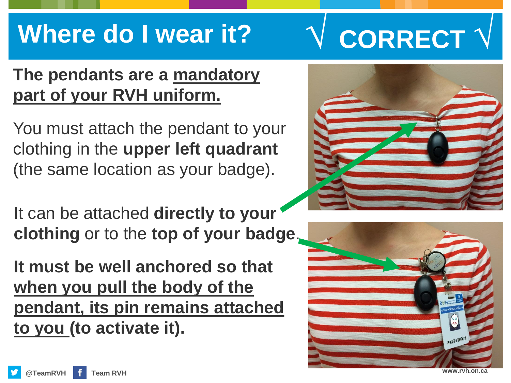## **Where do I wear it?**

#### **The pendants are a mandatory part of your RVH uniform.**

You must attach the pendant to your clothing in the **upper left quadrant**  (the same location as your badge).

It can be attached **directly to your clothing** or to the **top of your badge**.

**It must be well anchored so that when you pull the body of the pendant, its pin remains attached to you (to activate it).**

**√ CORRECT √**

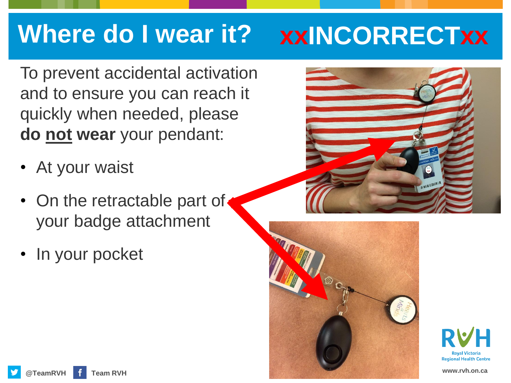# **Where do I wear it? xxINCORRECTxx**

To prevent accidental activation and to ensure you can reach it quickly when needed, please **do not wear** your pendant:

- At your waist
- On the retractable part of your badge attachment
- In your pocket





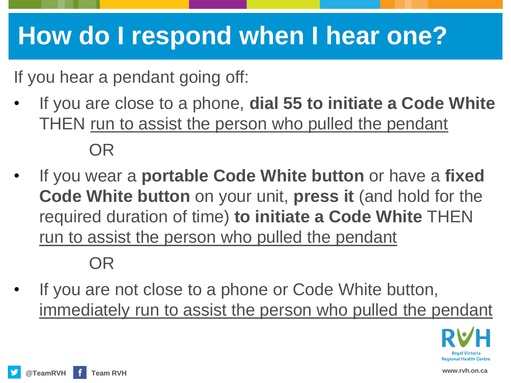# **How do I respond when I hear one?**

If you hear a pendant going off:

- If you are close to a phone, **dial 55 to initiate a Code White**  THEN run to assist the person who pulled the pendant OR
- If you wear a **portable Code White button** or have a **fixed Code White button** on your unit, **press it** (and hold for the required duration of time) **to initiate a Code White** THEN run to assist the person who pulled the pendant

#### OR

If you are not close to a phone or Code White button, immediately run to assist the person who pulled the pendant

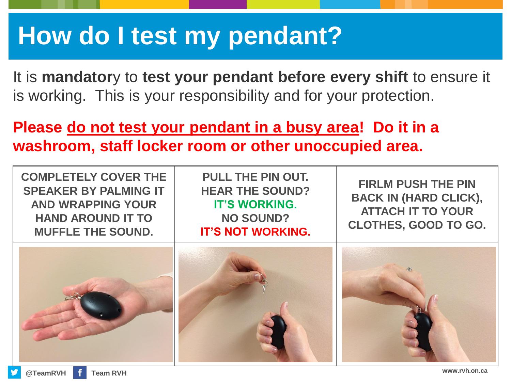### **How do I test my pendant?**

It is **mandator**y to **test your pendant before every shift** to ensure it is working. This is your responsibility and for your protection.

**Please do not test your pendant in a busy area! Do it in a washroom, staff locker room or other unoccupied area.**